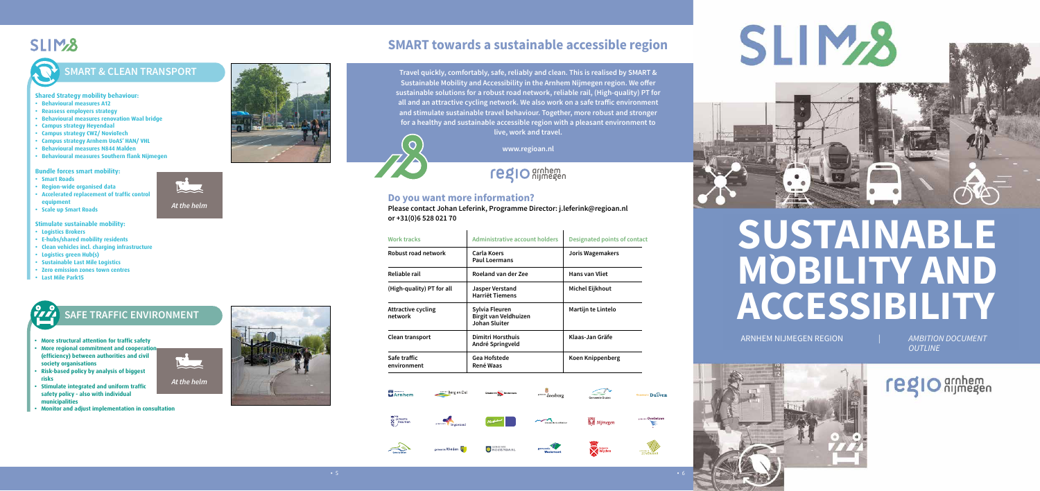### **SLIM<sub>2</sub>8**

### **SMART towards a sustainable accessible region**



**Travel quickly, comfortably, safe, reliably and clean. This is realised by SMART & Sustainable Mobility and Accessibility in the Arnhem Nijmegen region. We offer sustainable solutions for a robust road network, reliable rail, (High-quality) PT for all and an attractive cycling network. We also work on a safe traffic environment and stimulate sustainable travel behaviour. Together, more robust and stronger for a healthy and sustainable accessible region with a pleasant environment to live, work and travel.** 

**www.regioan.nl**

regio arnhem



<sup>te</sup> Duiven









# SLIM<sub>2</sub>



### **Do you want more information? Please contact Johan Leferink, Programme Director: j.leferink@regioan.nl**

### **or +31(0)6 528 021 70**

| <b>Work tracks</b>                                       | Administrative account holders                                  | <b>Designated points of contact</b> |  |
|----------------------------------------------------------|-----------------------------------------------------------------|-------------------------------------|--|
| Robust road network                                      | Carla Koers<br><b>Paul Loermans</b>                             | <b>Joris Wagemakers</b>             |  |
| Reliable rail                                            | Roeland van der Zee                                             | <b>Hans van Vliet</b>               |  |
| (High-quality) PT for all                                | Jasper Verstand<br><b>Harriët Tiemens</b>                       | <b>Michel Eijkhout</b>              |  |
| <b>Attractive cycling</b><br>network                     | Sylvia Fleuren<br>Birgit van Veldhuizen<br><b>Johan Sluiter</b> | Martijn te Lintelo                  |  |
| Dimitri Horsthuis<br>Clean transport<br>André Springveld |                                                                 | Klaas-Jan Gräfe                     |  |
| Safe traffic<br>environment                              | <b>Gea Hofstede</b><br><b>René Waas</b>                         | Koen Knippenberg                    |  |

### **SAFE TRAFFIC ENVIRONMENT**

**AMBITION DOCUMENT** *OUTLINE*



 $reglo$  ambem

- **• More structural attention for traffic safety**
- **More regional commitment and cooperational and a (efficiency) between authorities and civil society organisations**
- **• Risk-based policy by analysis of biggest risks**
- **• Stimulate integrated and uniform traffic safety policy - also with individual municipalities**
- **• Monitor and adjust implementation in consultation**



### **SMART & CLEAN TRANSPORT**

### **Shared Strategy mobility behaviour:**

- **• Behavioural measures A12**
- **• Reassess employers strategy**
- **• Behavioural measures renovation Waal bridge**
- **• Campus strategy Heyendaal**
- **• Campus strategy CWZ/ NovioTech**
- **• Campus strategy Arnhem UoAS' HAN/ VHL**
- **• Behavioural measures N844 Malden**
- **• Behavioural measures Southern flank Nijmegen**

### **Bundle forces smart mobility:**

- **• Smart Roads**
- **• Region-wide organised data**
- **• Accelerated replacement of traffic control equipment**
- **• Scale up Smart Roads**

### **Stimulate sustainable mobility:**

- **• Logistics Brokers**
- **• E-hubs/shared mobility residents**
- **• Clean vehicles incl. charging infrastructure**
- **• Logistics green Hub(s)**
- **• Sustainable Last Mile Logistics**
- **• Zero emission zones town centres**
- **• Last Mile Park15**



*At the helm*



त्क्र<br>इडसियामा

| gemeente | linge |
|----------|-------|









*At the helm*



# **SUSTAINABLE MOBILITY AND ACCESSIBILITY**

ARNHEM NIJMEGEN REGION